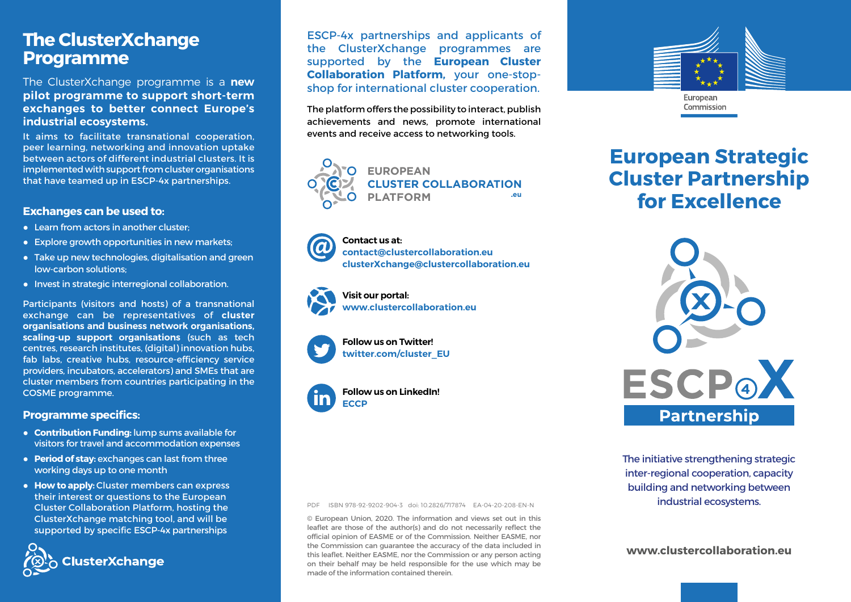## **The ClusterXchange Programme**

The ClusterXchange programme is a **new pilot programme to support short-term exchanges to better connect Europe's industrial ecosystems.**

It aims to facilitate transnational cooperation, peer learning, networking and innovation uptake between actors of different industrial clusters. It is implemented with support from cluster organisations that have teamed up in ESCP-4x partnerships.

#### **Exchanges can be used to:**

- Learn from actors in another cluster:
- Explore growth opportunities in new markets;
- Take up new technologies, digitalisation and green low-carbon solutions;
- Invest in strategic interregional collaboration.

Participants (visitors and hosts) of a transnational exchange can be representatives of **cluster organisations and business network organisations, scaling-up support organisations** (such as tech centres, research institutes, (digital) innovation hubs, fab labs, creative hubs, resource-efficiency service providers, incubators, accelerators) and SMEs that are cluster members from countries participating in the COSME programme.

### **Programme specifics:**

- **Contribution Funding:** lump sums available for visitors for travel and accommodation expenses
- **Period of stay:** exchanges can last from three working days up to one month
- **How to apply:** Cluster members can express their interest or questions to the European Cluster Collaboration Platform, hosting the ClusterXchange matching tool, and will be supported by specific ESCP-4x partnerships



ESCP-4x partnerships and applicants of the ClusterXchange programmes are supported by the **European Cluster Collaboration Platform,** your one-stopshop for international cluster cooperation.

The platform offers the possibility to interact, publish achievements and news, promote international events and receive access to networking tools.



**Contact us at: [contact@clustercollaboration.eu](mailto:contact%40clustercollaboration.eu?subject=) [clusterXchange@clustercollaboration.eu](mailto:clusterXchange%40clustercollaboration.eu?subject=)**



**Visit our portal: [www.clustercollaboration.eu](http://www.clustercollaboration.eu)**





**Follow us on LinkedIn! [ECCP](https://www.linkedin.com/company/european-cluster-collaboration-platform-eccp)**



**European Strategic Cluster Partnership for Excellence**



The initiative strengthening strategic inter-regional cooperation, capacity building and networking between industrial ecosystems.

**[www.clustercollaboration.eu](https://www.clustercollaboration.eu/)**

PDF ISBN 978-92-9202-904-3 doi: 10.2826/717874 EA-04-20-208-EN-N

© European Union, 2020. The information and views set out in this leaflet are those of the author(s) and do not necessarily reflect the official opinion of EASME or of the Commission. Neither EASME, nor the Commission can guarantee the accuracy of the data included in this leaflet. Neither EASME, nor the Commission or any person acting on their behalf may be held responsible for the use which may be made of the information contained therein.